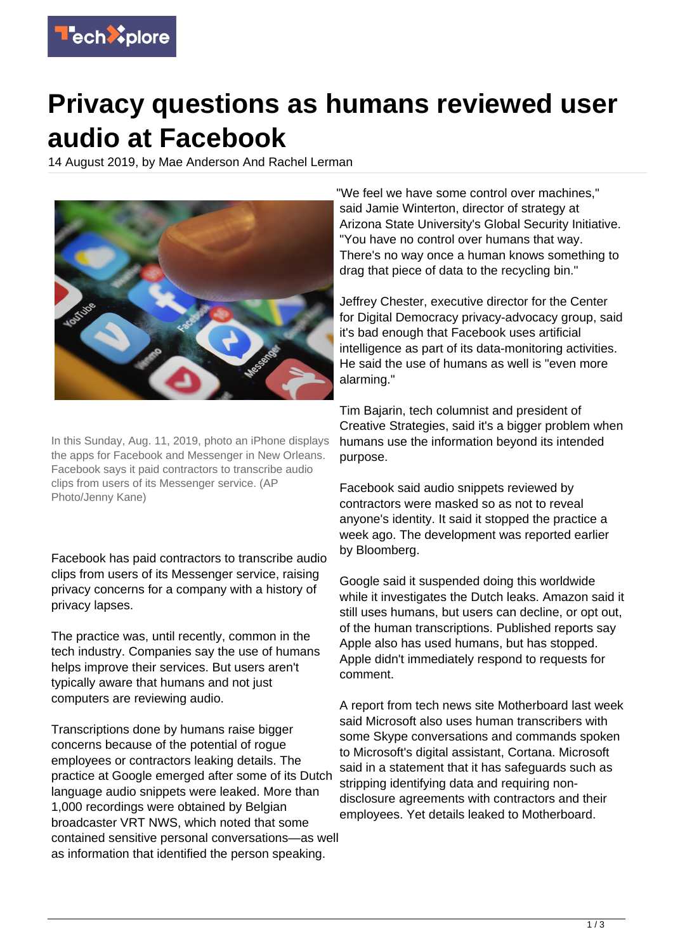

## **Privacy questions as humans reviewed user audio at Facebook**

14 August 2019, by Mae Anderson And Rachel Lerman



In this Sunday, Aug. 11, 2019, photo an iPhone displays the apps for Facebook and Messenger in New Orleans. Facebook says it paid contractors to transcribe audio clips from users of its Messenger service. (AP Photo/Jenny Kane)

Facebook has paid contractors to transcribe audio clips from users of its Messenger service, raising privacy concerns for a company with a history of privacy lapses.

The practice was, until recently, common in the tech industry. Companies say the use of humans helps improve their services. But users aren't typically aware that humans and not just computers are reviewing audio.

Transcriptions done by humans raise bigger concerns because of the potential of rogue employees or contractors leaking details. The practice at Google emerged after some of its Dutch language audio snippets were leaked. More than 1,000 recordings were obtained by Belgian broadcaster VRT NWS, which noted that some contained sensitive personal conversations—as well as information that identified the person speaking.

"We feel we have some control over machines," said Jamie Winterton, director of strategy at Arizona State University's Global Security Initiative. "You have no control over humans that way. There's no way once a human knows something to drag that piece of data to the recycling bin."

Jeffrey Chester, executive director for the Center for Digital Democracy privacy-advocacy group, said it's bad enough that Facebook uses artificial intelligence as part of its data-monitoring activities. He said the use of humans as well is "even more alarming."

Tim Bajarin, tech columnist and president of Creative Strategies, said it's a bigger problem when humans use the information beyond its intended purpose.

Facebook said audio snippets reviewed by contractors were masked so as not to reveal anyone's identity. It said it stopped the practice a week ago. The development was reported earlier by Bloomberg.

Google said it suspended doing this worldwide while it investigates the Dutch leaks. Amazon said it still uses humans, but users can decline, or opt out, of the human transcriptions. Published reports say Apple also has used humans, but has stopped. Apple didn't immediately respond to requests for comment.

A report from tech news site Motherboard last week said Microsoft also uses human transcribers with some Skype conversations and commands spoken to Microsoft's digital assistant, Cortana. Microsoft said in a statement that it has safeguards such as stripping identifying data and requiring nondisclosure agreements with contractors and their employees. Yet details leaked to Motherboard.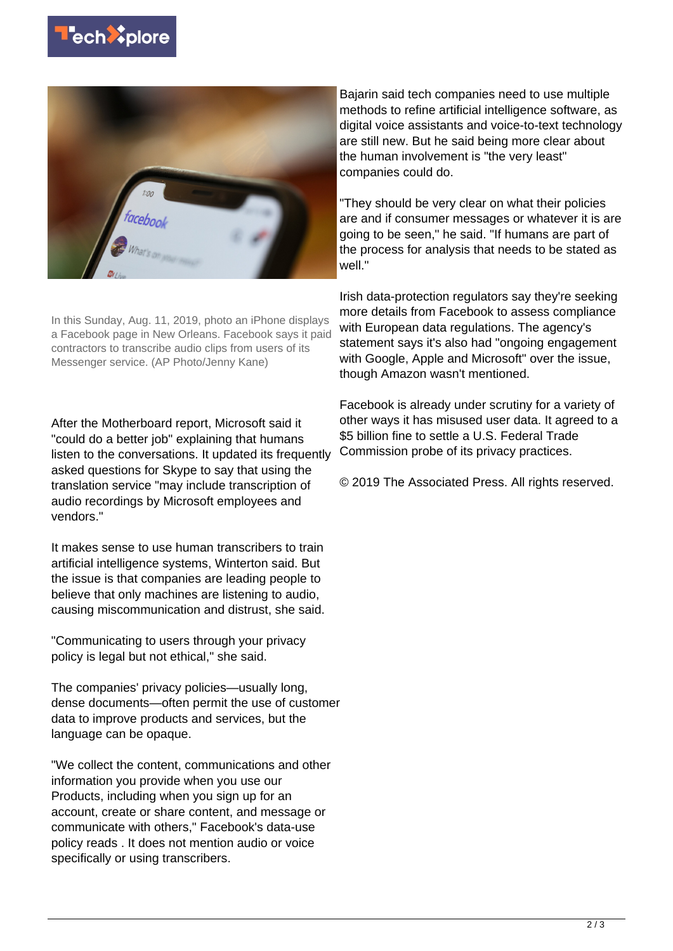



In this Sunday, Aug. 11, 2019, photo an iPhone displays a Facebook page in New Orleans. Facebook says it paid contractors to transcribe audio clips from users of its Messenger service. (AP Photo/Jenny Kane)

After the Motherboard report, Microsoft said it "could do a better job" explaining that humans listen to the conversations. It updated its frequently asked questions for Skype to say that using the translation service "may include transcription of audio recordings by Microsoft employees and vendors."

It makes sense to use human transcribers to train artificial intelligence systems, Winterton said. But the issue is that companies are leading people to believe that only machines are listening to audio, causing miscommunication and distrust, she said.

"Communicating to users through your privacy policy is legal but not ethical," she said.

The companies' privacy policies—usually long, dense documents—often permit the use of customer data to improve products and services, but the language can be opaque.

"We collect the content, communications and other information you provide when you use our Products, including when you sign up for an account, create or share content, and message or communicate with others," Facebook's data-use policy reads . It does not mention audio or voice specifically or using transcribers.

Bajarin said tech companies need to use multiple methods to refine artificial intelligence software, as digital voice assistants and voice-to-text technology are still new. But he said being more clear about the human involvement is "the very least" companies could do.

"They should be very clear on what their policies are and if consumer messages or whatever it is are going to be seen," he said. "If humans are part of the process for analysis that needs to be stated as well."

Irish data-protection regulators say they're seeking more details from Facebook to assess compliance with European data regulations. The agency's statement says it's also had "ongoing engagement with Google, Apple and Microsoft" over the issue, though Amazon wasn't mentioned.

Facebook is already under scrutiny for a variety of other ways it has misused user data. It agreed to a \$5 billion fine to settle a U.S. Federal Trade Commission probe of its privacy practices.

© 2019 The Associated Press. All rights reserved.